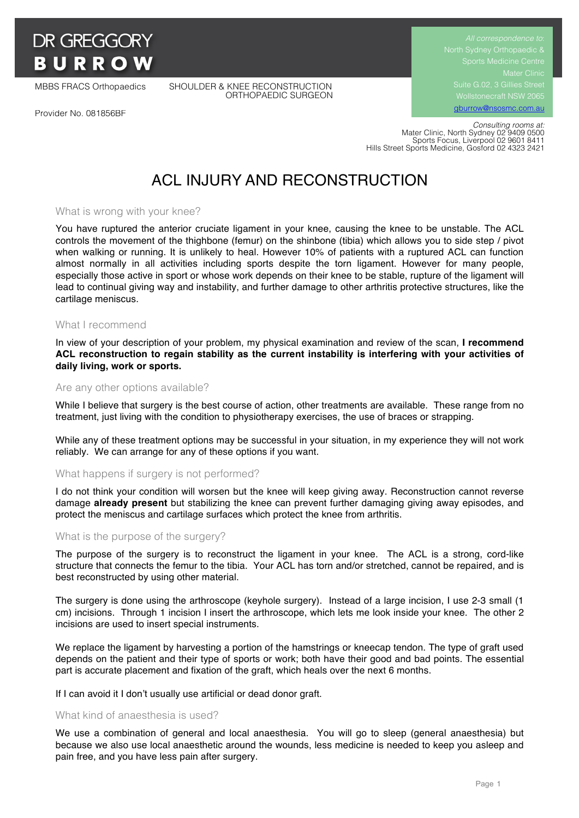# **DR GREGGORY BURROW**

MBBS FRACS Orthopaedics SHOULDER & KNEE RECONSTRUCTION ORTHOPAEDIC SURGEON Suite G.02, 3 Gillies Street Wollstonecraft NSW 2065 gburrow@nsosmc.com.au

Provider No. 081856BF

 *Consulting rooms at:* Mater Clinic, North Sydney 02 9409 0500 Sports Focus, Liverpool 02 9601 8411 Hills Street Sports Medicine, Gosford 02 4323 2421

# ACL INJURY AND RECONSTRUCTION

## What is wrong with your knee?

You have ruptured the anterior cruciate ligament in your knee, causing the knee to be unstable. The ACL controls the movement of the thighbone (femur) on the shinbone (tibia) which allows you to side step / pivot when walking or running. It is unlikely to heal. However 10% of patients with a ruptured ACL can function almost normally in all activities including sports despite the torn ligament. However for many people, especially those active in sport or whose work depends on their knee to be stable, rupture of the ligament will lead to continual giving way and instability, and further damage to other arthritis protective structures, like the cartilage meniscus.

#### What I recommend

In view of your description of your problem, my physical examination and review of the scan, **I recommend ACL reconstruction to regain stability as the current instability is interfering with your activities of daily living, work or sports.**

#### Are any other options available?

While I believe that surgery is the best course of action, other treatments are available. These range from no treatment, just living with the condition to physiotherapy exercises, the use of braces or strapping.

While any of these treatment options may be successful in your situation, in my experience they will not work reliably. We can arrange for any of these options if you want.

#### What happens if surgery is not performed?

I do not think your condition will worsen but the knee will keep giving away. Reconstruction cannot reverse damage **already present** but stabilizing the knee can prevent further damaging giving away episodes, and protect the meniscus and cartilage surfaces which protect the knee from arthritis.

#### What is the purpose of the surgery?

The purpose of the surgery is to reconstruct the ligament in your knee. The ACL is a strong, cord-like structure that connects the femur to the tibia. Your ACL has torn and/or stretched, cannot be repaired, and is best reconstructed by using other material.

The surgery is done using the arthroscope (keyhole surgery). Instead of a large incision, I use 2-3 small (1 cm) incisions. Through 1 incision I insert the arthroscope, which lets me look inside your knee. The other 2 incisions are used to insert special instruments.

We replace the ligament by harvesting a portion of the hamstrings or kneecap tendon. The type of graft used depends on the patient and their type of sports or work; both have their good and bad points. The essential part is accurate placement and fixation of the graft, which heals over the next 6 months.

If I can avoid it I don't usually use artificial or dead donor graft.

#### What kind of anaesthesia is used?

We use a combination of general and local anaesthesia. You will go to sleep (general anaesthesia) but because we also use local anaesthetic around the wounds, less medicine is needed to keep you asleep and pain free, and you have less pain after surgery.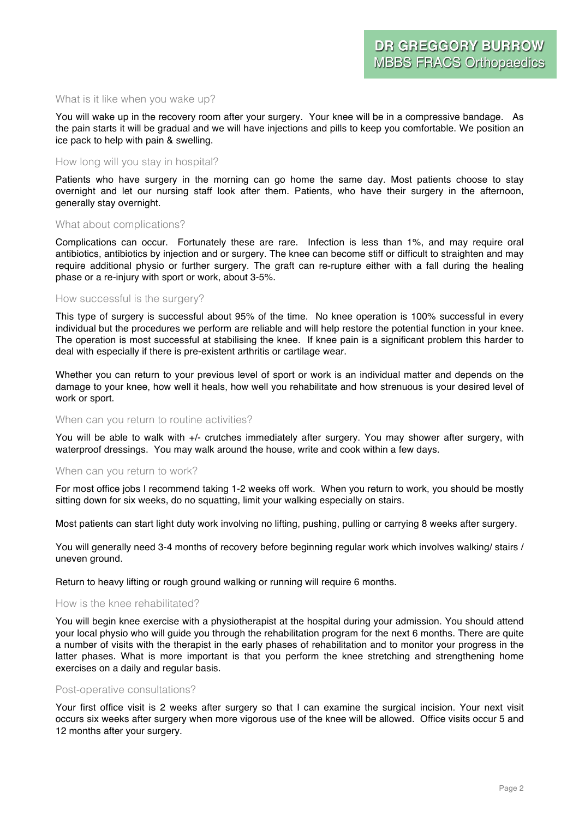#### What is it like when you wake up?

You will wake up in the recovery room after your surgery. Your knee will be in a compressive bandage. As the pain starts it will be gradual and we will have injections and pills to keep you comfortable. We position an ice pack to help with pain & swelling.

#### How long will you stay in hospital?

Patients who have surgery in the morning can go home the same day. Most patients choose to stay overnight and let our nursing staff look after them. Patients, who have their surgery in the afternoon, generally stay overnight.

#### What about complications?

Complications can occur. Fortunately these are rare. Infection is less than 1%, and may require oral antibiotics, antibiotics by injection and or surgery. The knee can become stiff or difficult to straighten and may require additional physio or further surgery. The graft can re-rupture either with a fall during the healing phase or a re-injury with sport or work, about 3-5%.

#### How successful is the surgery?

This type of surgery is successful about 95% of the time. No knee operation is 100% successful in every individual but the procedures we perform are reliable and will help restore the potential function in your knee. The operation is most successful at stabilising the knee. If knee pain is a significant problem this harder to deal with especially if there is pre-existent arthritis or cartilage wear.

Whether you can return to your previous level of sport or work is an individual matter and depends on the damage to your knee, how well it heals, how well you rehabilitate and how strenuous is your desired level of work or sport.

#### When can you return to routine activities?

You will be able to walk with +/- crutches immediately after surgery. You may shower after surgery, with waterproof dressings. You may walk around the house, write and cook within a few days.

#### When can you return to work?

For most office jobs I recommend taking 1-2 weeks off work. When you return to work, you should be mostly sitting down for six weeks, do no squatting, limit your walking especially on stairs.

Most patients can start light duty work involving no lifting, pushing, pulling or carrying 8 weeks after surgery.

You will generally need 3-4 months of recovery before beginning regular work which involves walking/ stairs / uneven ground.

Return to heavy lifting or rough ground walking or running will require 6 months.

#### How is the knee rehabilitated?

You will begin knee exercise with a physiotherapist at the hospital during your admission. You should attend your local physio who will guide you through the rehabilitation program for the next 6 months. There are quite a number of visits with the therapist in the early phases of rehabilitation and to monitor your progress in the latter phases. What is more important is that you perform the knee stretching and strengthening home exercises on a daily and regular basis.

#### Post-operative consultations?

Your first office visit is 2 weeks after surgery so that I can examine the surgical incision. Your next visit occurs six weeks after surgery when more vigorous use of the knee will be allowed. Office visits occur 5 and 12 months after your surgery.